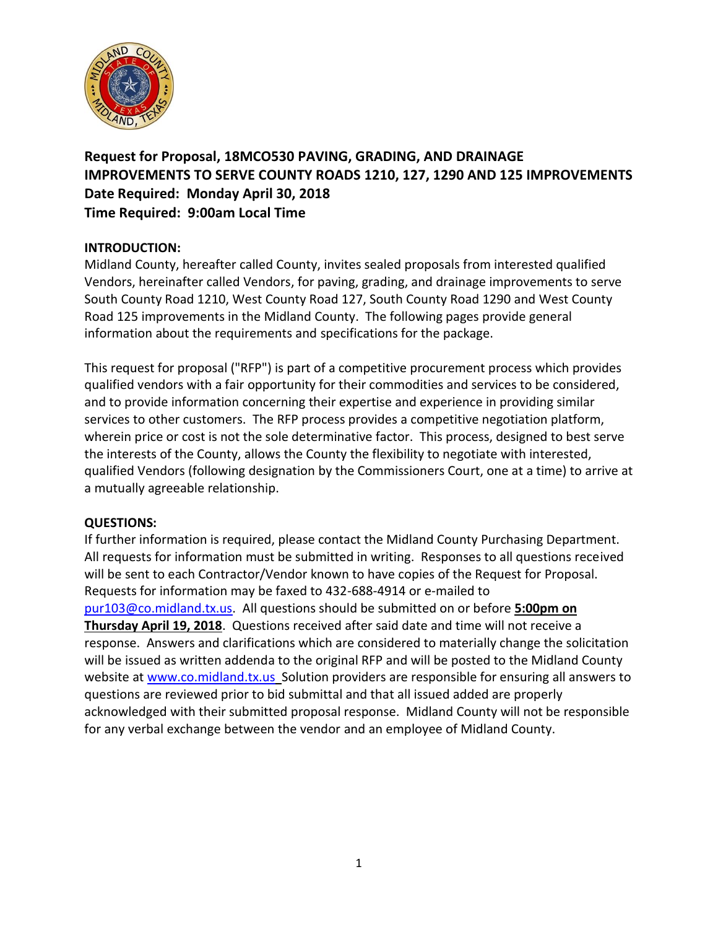

**Request for Proposal, 18MCO530 PAVING, GRADING, AND DRAINAGE IMPROVEMENTS TO SERVE COUNTY ROADS 1210, 127, 1290 AND 125 IMPROVEMENTS Date Required: Monday April 30, 2018 Time Required: 9:00am Local Time**

### **INTRODUCTION:**

Midland County, hereafter called County, invites sealed proposals from interested qualified Vendors, hereinafter called Vendors, for paving, grading, and drainage improvements to serve South County Road 1210, West County Road 127, South County Road 1290 and West County Road 125 improvements in the Midland County. The following pages provide general information about the requirements and specifications for the package.

This request for proposal ("RFP") is part of a competitive procurement process which provides qualified vendors with a fair opportunity for their commodities and services to be considered, and to provide information concerning their expertise and experience in providing similar services to other customers. The RFP process provides a competitive negotiation platform, wherein price or cost is not the sole determinative factor. This process, designed to best serve the interests of the County, allows the County the flexibility to negotiate with interested, qualified Vendors (following designation by the Commissioners Court, one at a time) to arrive at a mutually agreeable relationship.

### **QUESTIONS:**

If further information is required, please contact the Midland County Purchasing Department. All requests for information must be submitted in writing. Responses to all questions received will be sent to each Contractor/Vendor known to have copies of the Request for Proposal. Requests for information may be faxed to 432-688-4914 or e-mailed to [pur103@co.midland.tx.us.](mailto:pur103@co.midland.tx.us) All questions should be submitted on or before **5:00pm on Thursday April 19, 2018**. Questions received after said date and time will not receive a response. Answers and clarifications which are considered to materially change the solicitation will be issued as written addenda to the original RFP and will be posted to the Midland County website at [www.co.midland.tx.us](http://www.co.midland.tx.us/) Solution providers are responsible for ensuring all answers to questions are reviewed prior to bid submittal and that all issued added are properly acknowledged with their submitted proposal response. Midland County will not be responsible for any verbal exchange between the vendor and an employee of Midland County.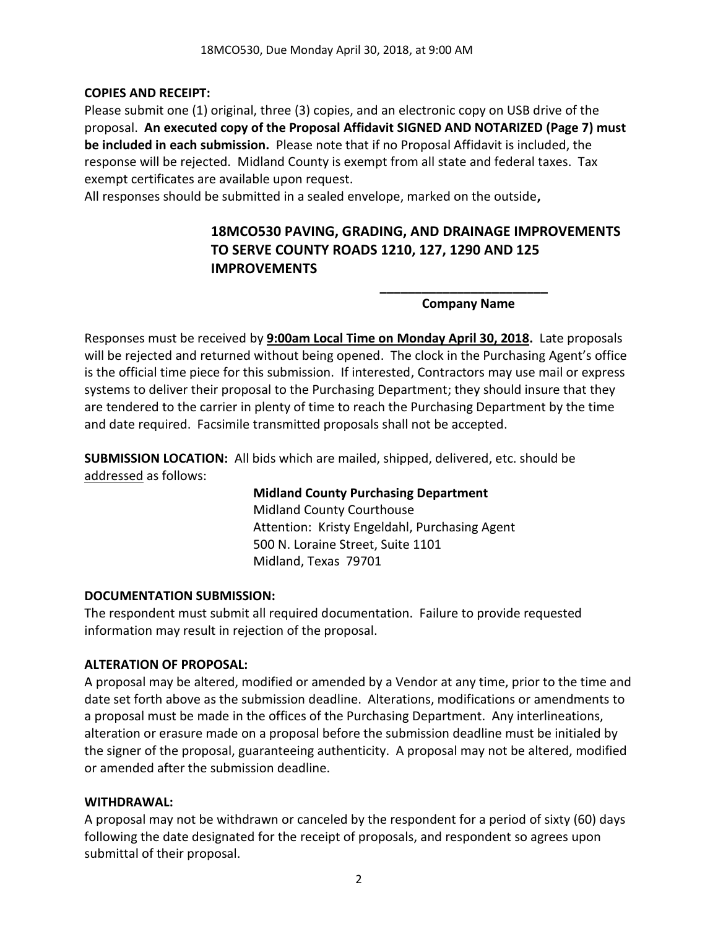#### **COPIES AND RECEIPT:**

Please submit one (1) original, three (3) copies, and an electronic copy on USB drive of the proposal. **An executed copy of the Proposal Affidavit SIGNED AND NOTARIZED (Page 7) must be included in each submission.** Please note that if no Proposal Affidavit is included, the response will be rejected. Midland County is exempt from all state and federal taxes. Tax exempt certificates are available upon request.

All responses should be submitted in a sealed envelope, marked on the outside**,** 

# **18MCO530 PAVING, GRADING, AND DRAINAGE IMPROVEMENTS TO SERVE COUNTY ROADS 1210, 127, 1290 AND 125 IMPROVEMENTS**

#### **\_\_\_\_\_\_\_\_\_\_\_\_\_\_\_\_\_\_\_\_\_\_\_\_ Company Name**

Responses must be received by **9:00am Local Time on Monday April 30, 2018.** Late proposals will be rejected and returned without being opened. The clock in the Purchasing Agent's office is the official time piece for this submission. If interested, Contractors may use mail or express systems to deliver their proposal to the Purchasing Department; they should insure that they are tendered to the carrier in plenty of time to reach the Purchasing Department by the time and date required. Facsimile transmitted proposals shall not be accepted.

**SUBMISSION LOCATION:** All bids which are mailed, shipped, delivered, etc. should be addressed as follows:

> **Midland County Purchasing Department** Midland County Courthouse Attention: Kristy Engeldahl, Purchasing Agent 500 N. Loraine Street, Suite 1101 Midland, Texas 79701

#### **DOCUMENTATION SUBMISSION:**

The respondent must submit all required documentation. Failure to provide requested information may result in rejection of the proposal.

#### **ALTERATION OF PROPOSAL:**

A proposal may be altered, modified or amended by a Vendor at any time, prior to the time and date set forth above as the submission deadline. Alterations, modifications or amendments to a proposal must be made in the offices of the Purchasing Department. Any interlineations, alteration or erasure made on a proposal before the submission deadline must be initialed by the signer of the proposal, guaranteeing authenticity. A proposal may not be altered, modified or amended after the submission deadline.

#### **WITHDRAWAL:**

A proposal may not be withdrawn or canceled by the respondent for a period of sixty (60) days following the date designated for the receipt of proposals, and respondent so agrees upon submittal of their proposal.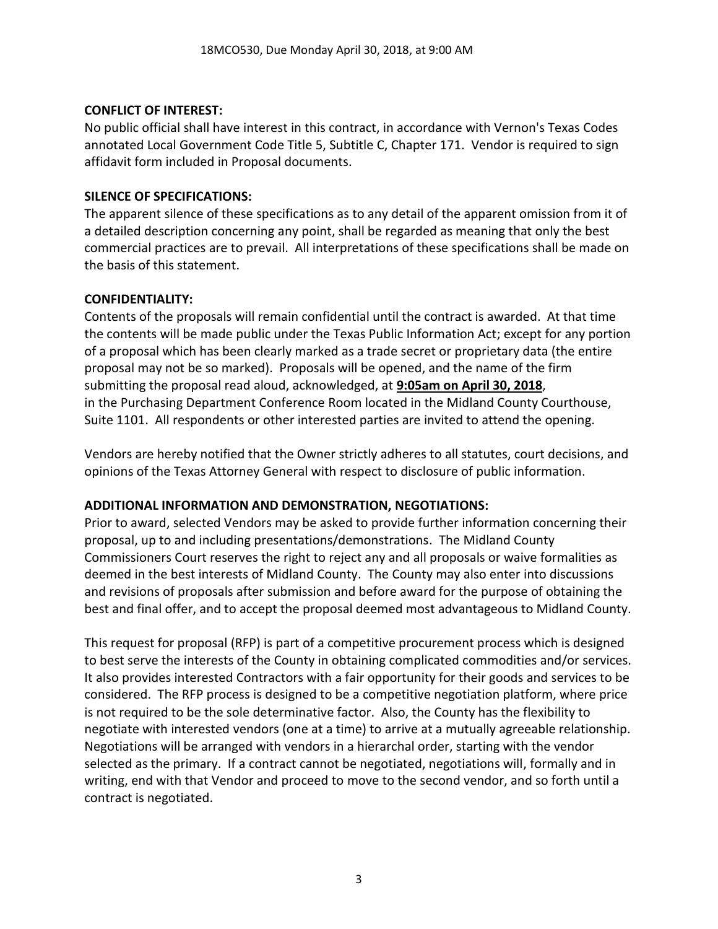#### **CONFLICT OF INTEREST:**

No public official shall have interest in this contract, in accordance with Vernon's Texas Codes annotated Local Government Code Title 5, Subtitle C, Chapter 171. Vendor is required to sign affidavit form included in Proposal documents.

### **SILENCE OF SPECIFICATIONS:**

The apparent silence of these specifications as to any detail of the apparent omission from it of a detailed description concerning any point, shall be regarded as meaning that only the best commercial practices are to prevail. All interpretations of these specifications shall be made on the basis of this statement.

### **CONFIDENTIALITY:**

Contents of the proposals will remain confidential until the contract is awarded. At that time the contents will be made public under the Texas Public Information Act; except for any portion of a proposal which has been clearly marked as a trade secret or proprietary data (the entire proposal may not be so marked). Proposals will be opened, and the name of the firm submitting the proposal read aloud, acknowledged, at **9:05am on April 30, 2018**, in the Purchasing Department Conference Room located in the Midland County Courthouse, Suite 1101. All respondents or other interested parties are invited to attend the opening.

Vendors are hereby notified that the Owner strictly adheres to all statutes, court decisions, and opinions of the Texas Attorney General with respect to disclosure of public information.

### **ADDITIONAL INFORMATION AND DEMONSTRATION, NEGOTIATIONS:**

Prior to award, selected Vendors may be asked to provide further information concerning their proposal, up to and including presentations/demonstrations. The Midland County Commissioners Court reserves the right to reject any and all proposals or waive formalities as deemed in the best interests of Midland County. The County may also enter into discussions and revisions of proposals after submission and before award for the purpose of obtaining the best and final offer, and to accept the proposal deemed most advantageous to Midland County.

This request for proposal (RFP) is part of a competitive procurement process which is designed to best serve the interests of the County in obtaining complicated commodities and/or services. It also provides interested Contractors with a fair opportunity for their goods and services to be considered. The RFP process is designed to be a competitive negotiation platform, where price is not required to be the sole determinative factor. Also, the County has the flexibility to negotiate with interested vendors (one at a time) to arrive at a mutually agreeable relationship. Negotiations will be arranged with vendors in a hierarchal order, starting with the vendor selected as the primary. If a contract cannot be negotiated, negotiations will, formally and in writing, end with that Vendor and proceed to move to the second vendor, and so forth until a contract is negotiated.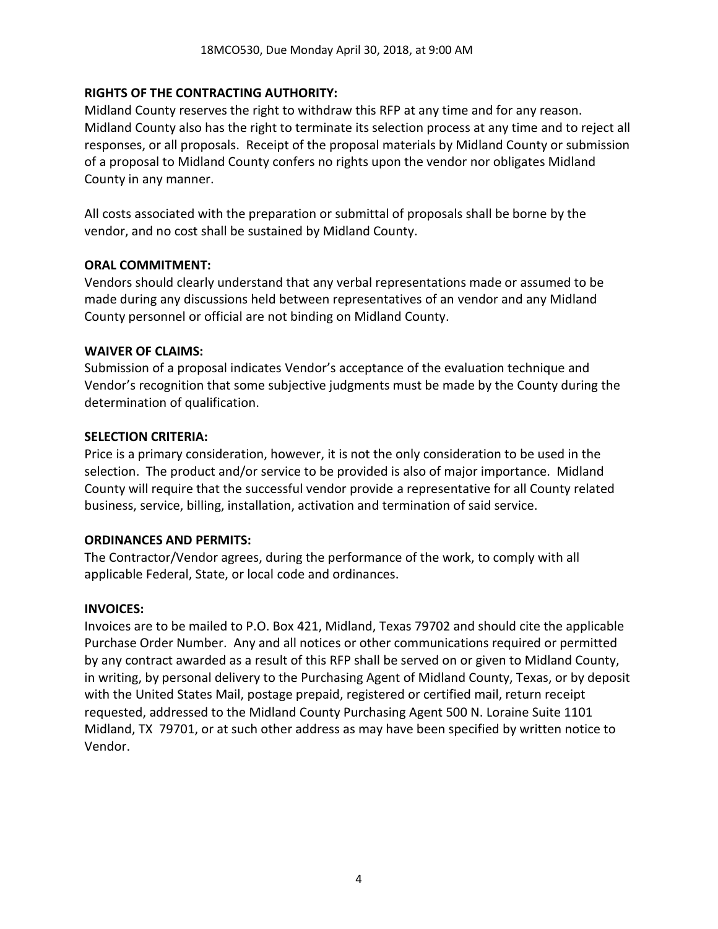### **RIGHTS OF THE CONTRACTING AUTHORITY:**

Midland County reserves the right to withdraw this RFP at any time and for any reason. Midland County also has the right to terminate its selection process at any time and to reject all responses, or all proposals. Receipt of the proposal materials by Midland County or submission of a proposal to Midland County confers no rights upon the vendor nor obligates Midland County in any manner.

All costs associated with the preparation or submittal of proposals shall be borne by the vendor, and no cost shall be sustained by Midland County.

#### **ORAL COMMITMENT:**

Vendors should clearly understand that any verbal representations made or assumed to be made during any discussions held between representatives of an vendor and any Midland County personnel or official are not binding on Midland County.

#### **WAIVER OF CLAIMS:**

Submission of a proposal indicates Vendor's acceptance of the evaluation technique and Vendor's recognition that some subjective judgments must be made by the County during the determination of qualification.

#### **SELECTION CRITERIA:**

Price is a primary consideration, however, it is not the only consideration to be used in the selection. The product and/or service to be provided is also of major importance. Midland County will require that the successful vendor provide a representative for all County related business, service, billing, installation, activation and termination of said service.

#### **ORDINANCES AND PERMITS:**

The Contractor/Vendor agrees, during the performance of the work, to comply with all applicable Federal, State, or local code and ordinances.

#### **INVOICES:**

Invoices are to be mailed to P.O. Box 421, Midland, Texas 79702 and should cite the applicable Purchase Order Number. Any and all notices or other communications required or permitted by any contract awarded as a result of this RFP shall be served on or given to Midland County, in writing, by personal delivery to the Purchasing Agent of Midland County, Texas, or by deposit with the United States Mail, postage prepaid, registered or certified mail, return receipt requested, addressed to the Midland County Purchasing Agent 500 N. Loraine Suite 1101 Midland, TX 79701, or at such other address as may have been specified by written notice to Vendor.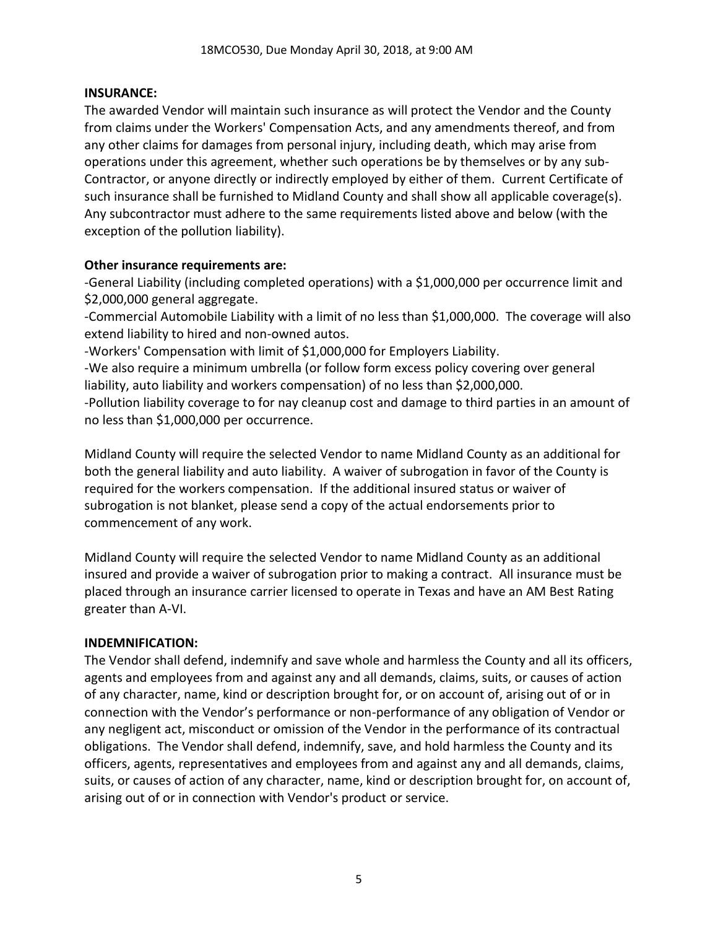#### **INSURANCE:**

The awarded Vendor will maintain such insurance as will protect the Vendor and the County from claims under the Workers' Compensation Acts, and any amendments thereof, and from any other claims for damages from personal injury, including death, which may arise from operations under this agreement, whether such operations be by themselves or by any sub-Contractor, or anyone directly or indirectly employed by either of them. Current Certificate of such insurance shall be furnished to Midland County and shall show all applicable coverage(s). Any subcontractor must adhere to the same requirements listed above and below (with the exception of the pollution liability).

### **Other insurance requirements are:**

-General Liability (including completed operations) with a \$1,000,000 per occurrence limit and \$2,000,000 general aggregate.

-Commercial Automobile Liability with a limit of no less than \$1,000,000. The coverage will also extend liability to hired and non-owned autos.

-Workers' Compensation with limit of \$1,000,000 for Employers Liability.

-We also require a minimum umbrella (or follow form excess policy covering over general liability, auto liability and workers compensation) of no less than \$2,000,000.

-Pollution liability coverage to for nay cleanup cost and damage to third parties in an amount of no less than \$1,000,000 per occurrence.

Midland County will require the selected Vendor to name Midland County as an additional for both the general liability and auto liability. A waiver of subrogation in favor of the County is required for the workers compensation. If the additional insured status or waiver of subrogation is not blanket, please send a copy of the actual endorsements prior to commencement of any work.

Midland County will require the selected Vendor to name Midland County as an additional insured and provide a waiver of subrogation prior to making a contract. All insurance must be placed through an insurance carrier licensed to operate in Texas and have an AM Best Rating greater than A-VI.

#### **INDEMNIFICATION:**

The Vendor shall defend, indemnify and save whole and harmless the County and all its officers, agents and employees from and against any and all demands, claims, suits, or causes of action of any character, name, kind or description brought for, or on account of, arising out of or in connection with the Vendor's performance or non-performance of any obligation of Vendor or any negligent act, misconduct or omission of the Vendor in the performance of its contractual obligations. The Vendor shall defend, indemnify, save, and hold harmless the County and its officers, agents, representatives and employees from and against any and all demands, claims, suits, or causes of action of any character, name, kind or description brought for, on account of, arising out of or in connection with Vendor's product or service.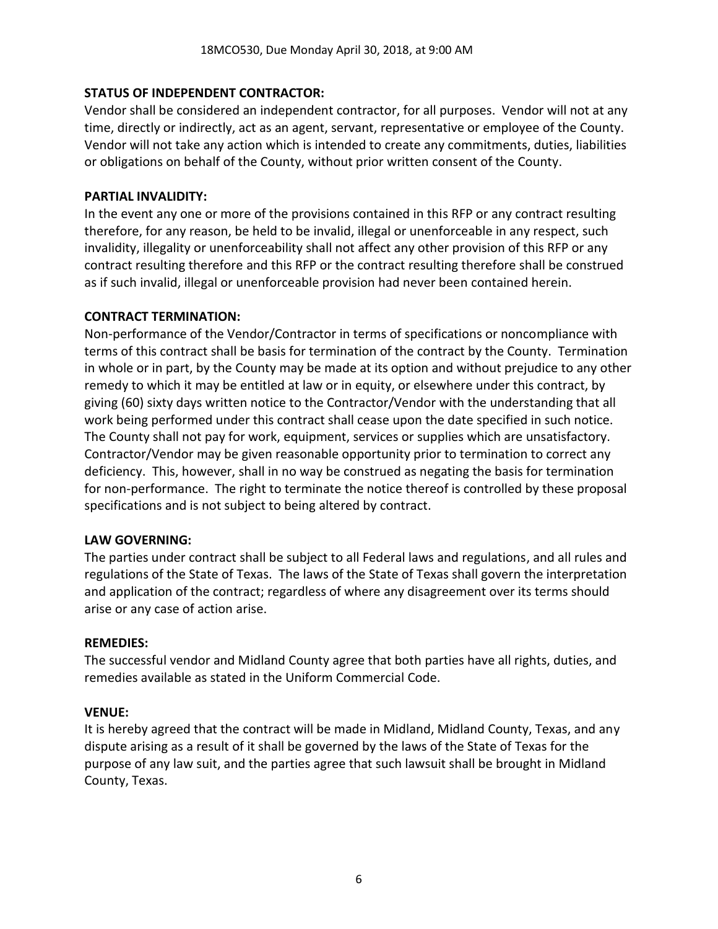### **STATUS OF INDEPENDENT CONTRACTOR:**

Vendor shall be considered an independent contractor, for all purposes. Vendor will not at any time, directly or indirectly, act as an agent, servant, representative or employee of the County. Vendor will not take any action which is intended to create any commitments, duties, liabilities or obligations on behalf of the County, without prior written consent of the County.

#### **PARTIAL INVALIDITY:**

In the event any one or more of the provisions contained in this RFP or any contract resulting therefore, for any reason, be held to be invalid, illegal or unenforceable in any respect, such invalidity, illegality or unenforceability shall not affect any other provision of this RFP or any contract resulting therefore and this RFP or the contract resulting therefore shall be construed as if such invalid, illegal or unenforceable provision had never been contained herein.

### **CONTRACT TERMINATION:**

Non-performance of the Vendor/Contractor in terms of specifications or noncompliance with terms of this contract shall be basis for termination of the contract by the County. Termination in whole or in part, by the County may be made at its option and without prejudice to any other remedy to which it may be entitled at law or in equity, or elsewhere under this contract, by giving (60) sixty days written notice to the Contractor/Vendor with the understanding that all work being performed under this contract shall cease upon the date specified in such notice. The County shall not pay for work, equipment, services or supplies which are unsatisfactory. Contractor/Vendor may be given reasonable opportunity prior to termination to correct any deficiency. This, however, shall in no way be construed as negating the basis for termination for non-performance. The right to terminate the notice thereof is controlled by these proposal specifications and is not subject to being altered by contract.

#### **LAW GOVERNING:**

The parties under contract shall be subject to all Federal laws and regulations, and all rules and regulations of the State of Texas. The laws of the State of Texas shall govern the interpretation and application of the contract; regardless of where any disagreement over its terms should arise or any case of action arise.

#### **REMEDIES:**

The successful vendor and Midland County agree that both parties have all rights, duties, and remedies available as stated in the Uniform Commercial Code.

#### **VENUE:**

It is hereby agreed that the contract will be made in Midland, Midland County, Texas, and any dispute arising as a result of it shall be governed by the laws of the State of Texas for the purpose of any law suit, and the parties agree that such lawsuit shall be brought in Midland County, Texas.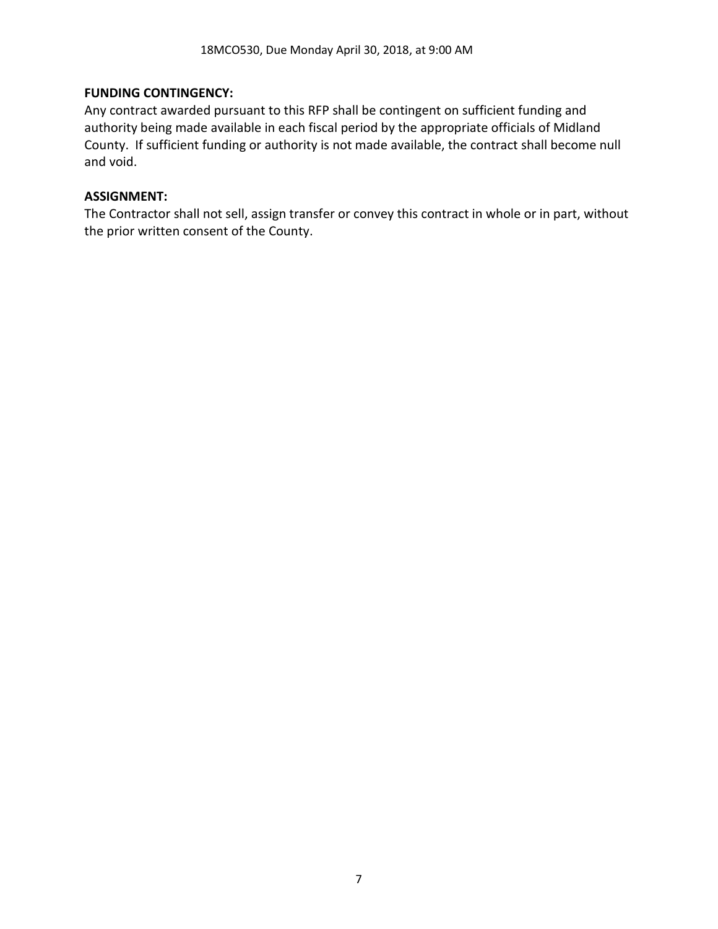#### **FUNDING CONTINGENCY:**

Any contract awarded pursuant to this RFP shall be contingent on sufficient funding and authority being made available in each fiscal period by the appropriate officials of Midland County. If sufficient funding or authority is not made available, the contract shall become null and void.

#### **ASSIGNMENT:**

The Contractor shall not sell, assign transfer or convey this contract in whole or in part, without the prior written consent of the County.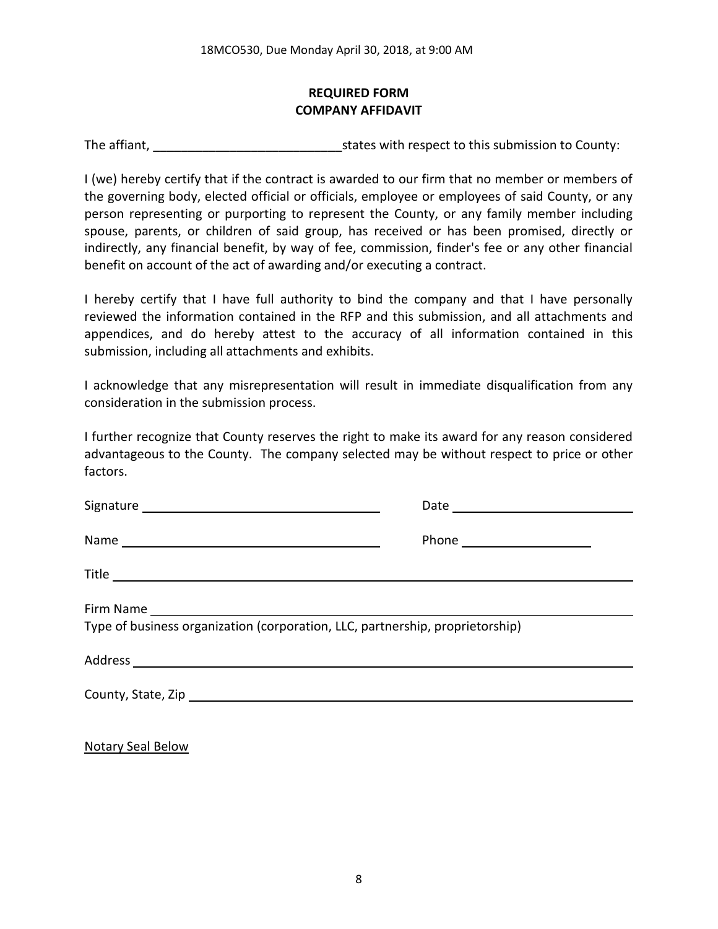### **REQUIRED FORM COMPANY AFFIDAVIT**

The affiant, The affiant, The affiant,  $\frac{1}{2}$  states with respect to this submission to County:

I (we) hereby certify that if the contract is awarded to our firm that no member or members of the governing body, elected official or officials, employee or employees of said County, or any person representing or purporting to represent the County, or any family member including spouse, parents, or children of said group, has received or has been promised, directly or indirectly, any financial benefit, by way of fee, commission, finder's fee or any other financial benefit on account of the act of awarding and/or executing a contract.

I hereby certify that I have full authority to bind the company and that I have personally reviewed the information contained in the RFP and this submission, and all attachments and appendices, and do hereby attest to the accuracy of all information contained in this submission, including all attachments and exhibits.

I acknowledge that any misrepresentation will result in immediate disqualification from any consideration in the submission process.

I further recognize that County reserves the right to make its award for any reason considered advantageous to the County. The company selected may be without respect to price or other factors.

| Type of business organization (corporation, LLC, partnership, proprietorship) |  |
|-------------------------------------------------------------------------------|--|
|                                                                               |  |
|                                                                               |  |
|                                                                               |  |

Notary Seal Below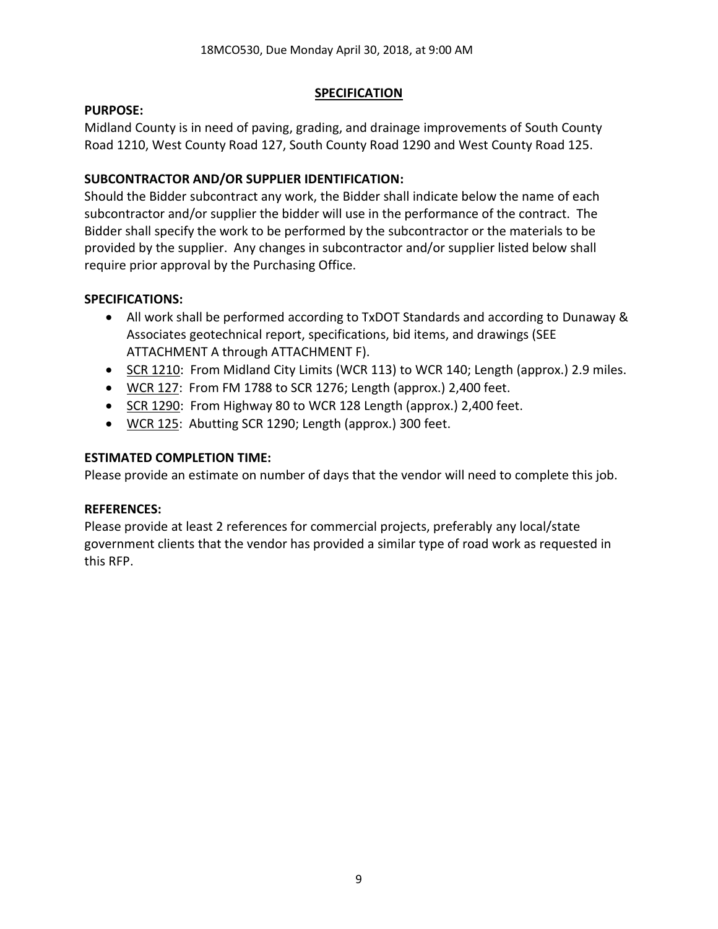### **SPECIFICATION**

#### **PURPOSE:**

Midland County is in need of paving, grading, and drainage improvements of South County Road 1210, West County Road 127, South County Road 1290 and West County Road 125.

### **SUBCONTRACTOR AND/OR SUPPLIER IDENTIFICATION:**

Should the Bidder subcontract any work, the Bidder shall indicate below the name of each subcontractor and/or supplier the bidder will use in the performance of the contract. The Bidder shall specify the work to be performed by the subcontractor or the materials to be provided by the supplier. Any changes in subcontractor and/or supplier listed below shall require prior approval by the Purchasing Office.

### **SPECIFICATIONS:**

- All work shall be performed according to TxDOT Standards and according to Dunaway & Associates geotechnical report, specifications, bid items, and drawings (SEE ATTACHMENT A through ATTACHMENT F).
- SCR 1210: From Midland City Limits (WCR 113) to WCR 140; Length (approx.) 2.9 miles.
- WCR 127: From FM 1788 to SCR 1276; Length (approx.) 2,400 feet.
- SCR 1290: From Highway 80 to WCR 128 Length (approx.) 2,400 feet.
- WCR 125: Abutting SCR 1290; Length (approx.) 300 feet.

## **ESTIMATED COMPLETION TIME:**

Please provide an estimate on number of days that the vendor will need to complete this job.

### **REFERENCES:**

Please provide at least 2 references for commercial projects, preferably any local/state government clients that the vendor has provided a similar type of road work as requested in this RFP.